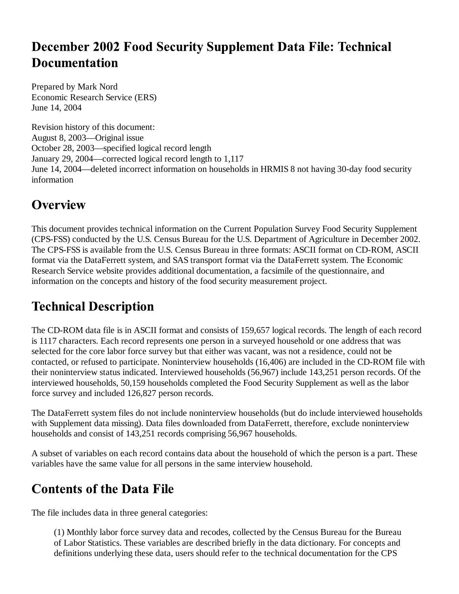#### **December 2002 Food Security Supplement Data File: Technical Documentation**

Prepared by Mark Nord Economic Research Service (ERS) June 14, 2004

Revision history of this document: August 8, 2003—Original issue October 28, 2003—specified logical record length January 29, 2004—corrected logical record length to 1,117 June 14, 2004—deleted incorrect information on households in HRMIS 8 not having 30-day food security information

## **Overview**

This document provides technical information on the Current Population Survey Food Security Supplement (CPS-FSS) conducted by the U.S. Census Bureau for the U.S. Department of Agriculture in December 2002. The CPS-FSS is available from the U.S. Census Bureau in three formats: ASCII format on CD-ROM, ASCII format via the DataFerrett system, and SAS transport format via the DataFerrett system. The Economic Research Service website provides additional documentation, a facsimile of the questionnaire, and information on the concepts and history of the food security measurement project.

#### **Technical Description**

The CD-ROM data file is in ASCII format and consists of 159,657 logical records. The length of each record is 1117 characters. Each record represents one person in a surveyed household or one address that was selected for the core labor force survey but that either was vacant, was not a residence, could not be contacted, or refused to participate. Noninterview households (16,406) are included in the CD-ROM file with their noninterview status indicated. Interviewed households (56,967) include 143,251 person records. Of the interviewed households, 50,159 households completed the Food Security Supplement as well as the labor force survey and included 126,827 person records.

The DataFerrett system files do not include noninterview households (but do include interviewed households with Supplement data missing). Data files downloaded from DataFerrett, therefore, exclude noninterview households and consist of 143,251 records comprising 56,967 households.

A subset of variables on each record contains data about the household of which the person is a part. These variables have the same value for all persons in the same interview household.

# **Contents of the Data File**

The file includes data in three general categories:

(1) Monthly labor force survey data and recodes, collected by the Census Bureau for the Bureau of Labor Statistics. These variables are described briefly in the data dictionary. For concepts and definitions underlying these data, users should refer to the technical documentation for the CPS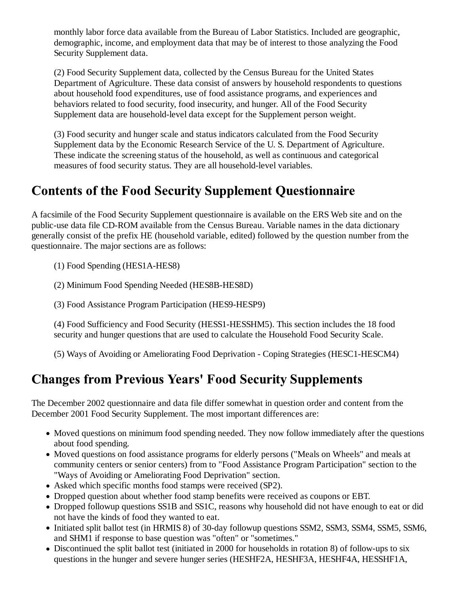monthly labor force data available from the Bureau of Labor Statistics. Included are geographic, demographic, income, and employment data that may be of interest to those analyzing the Food Security Supplement data.

(2) Food Security Supplement data, collected by the Census Bureau for the United States Department of Agriculture. These data consist of answers by household respondents to questions about household food expenditures, use of food assistance programs, and experiences and behaviors related to food security, food insecurity, and hunger. All of the Food Security Supplement data are household-level data except for the Supplement person weight.

(3) Food security and hunger scale and status indicators calculated from the Food Security Supplement data by the Economic Research Service of the U. S. Department of Agriculture. These indicate the screening status of the household, as well as continuous and categorical measures of food security status. They are all household-level variables.

#### **Contents of the Food Security Supplement Questionnaire**

A facsimile of the Food Security Supplement questionnaire is available on the ERS Web site and on the public-use data file CD-ROM available from the Census Bureau. Variable names in the data dictionary generally consist of the prefix HE (household variable, edited) followed by the question number from the questionnaire. The major sections are as follows:

(1) Food Spending (HES1A-HES8)

(2) Minimum Food Spending Needed (HES8B-HES8D)

(3) Food Assistance Program Participation (HES9-HESP9)

(4) Food Sufficiency and Food Security (HESS1-HESSHM5). This section includes the 18 food security and hunger questions that are used to calculate the Household Food Security Scale.

(5) Ways of Avoiding or Ameliorating Food Deprivation - Coping Strategies (HESC1-HESCM4)

#### **Changes from Previous Years' Food Security Supplements**

The December 2002 questionnaire and data file differ somewhat in question order and content from the December 2001 Food Security Supplement. The most important differences are:

- Moved questions on minimum food spending needed. They now follow immediately after the questions about food spending.
- Moved questions on food assistance programs for elderly persons ("Meals on Wheels" and meals at community centers or senior centers) from to "Food Assistance Program Participation" section to the "Ways of Avoiding or Ameliorating Food Deprivation" section.
- Asked which specific months food stamps were received (SP2).
- Dropped question about whether food stamp benefits were received as coupons or EBT.
- Dropped followup questions SS1B and SS1C, reasons why household did not have enough to eat or did not have the kinds of food they wanted to eat.
- Initiated split ballot test (in HRMIS 8) of 30-day followup questions SSM2, SSM3, SSM4, SSM5, SSM6, and SHM1 if response to base question was "often" or "sometimes."
- Discontinued the split ballot test (initiated in 2000 for households in rotation 8) of follow-ups to six questions in the hunger and severe hunger series (HESHF2A, HESHF3A, HESHF4A, HESSHF1A,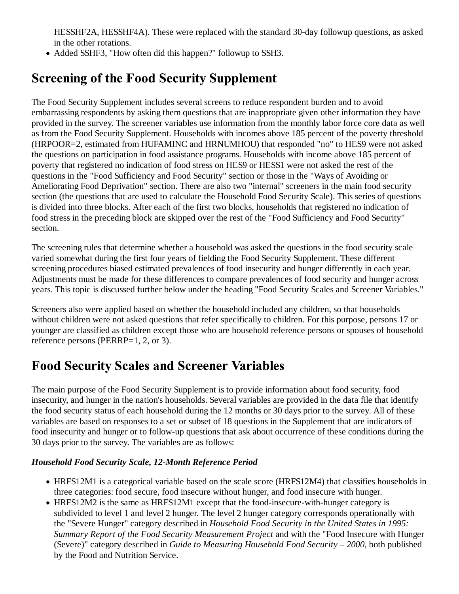HESSHF2A, HESSHF4A). These were replaced with the standard 30-day followup questions, as asked in the other rotations.

• Added SSHF3, "How often did this happen?" followup to SSH3.

## **Screening of the Food Security Supplement**

The Food Security Supplement includes several screens to reduce respondent burden and to avoid embarrassing respondents by asking them questions that are inappropriate given other information they have provided in the survey. The screener variables use information from the monthly labor force core data as well as from the Food Security Supplement. Households with incomes above 185 percent of the poverty threshold (HRPOOR=2, estimated from HUFAMINC and HRNUMHOU) that responded "no" to HES9 were not asked the questions on participation in food assistance programs. Households with income above 185 percent of poverty that registered no indication of food stress on HES9 or HESS1 were not asked the rest of the questions in the "Food Sufficiency and Food Security" section or those in the "Ways of Avoiding or Ameliorating Food Deprivation" section. There are also two "internal" screeners in the main food security section (the questions that are used to calculate the Household Food Security Scale). This series of questions is divided into three blocks. After each of the first two blocks, households that registered no indication of food stress in the preceding block are skipped over the rest of the "Food Sufficiency and Food Security" section.

The screening rules that determine whether a household was asked the questions in the food security scale varied somewhat during the first four years of fielding the Food Security Supplement. These different screening procedures biased estimated prevalences of food insecurity and hunger differently in each year. Adjustments must be made for these differences to compare prevalences of food security and hunger across years. This topic is discussed further below under the heading "Food Security Scales and Screener Variables."

Screeners also were applied based on whether the household included any children, so that households without children were not asked questions that refer specifically to children. For this purpose, persons 17 or younger are classified as children except those who are household reference persons or spouses of household reference persons (PERRP=1, 2, or 3).

#### **Food Security Scales and Screener Variables**

The main purpose of the Food Security Supplement is to provide information about food security, food insecurity, and hunger in the nation's households. Several variables are provided in the data file that identify the food security status of each household during the 12 months or 30 days prior to the survey. All of these variables are based on responses to a set or subset of 18 questions in the Supplement that are indicators of food insecurity and hunger or to follow-up questions that ask about occurrence of these conditions during the 30 days prior to the survey. The variables are as follows:

#### *Household Food Security Scale, 12-Month Reference Period*

- HRFS12M1 is a categorical variable based on the scale score (HRFS12M4) that classifies households in three categories: food secure, food insecure without hunger, and food insecure with hunger.
- HRFS12M2 is the same as HRFS12M1 except that the food-insecure-with-hunger category is subdivided to level 1 and level 2 hunger. The level 2 hunger category corresponds operationally with the "Severe Hunger" category described in *Household Food Security in the United States in 1995: Summary Report of the Food Security Measurement Project* and with the "Food Insecure with Hunger (Severe)" category described in *Guide to Measuring Household Food Security – 2000*, both published by the Food and Nutrition Service.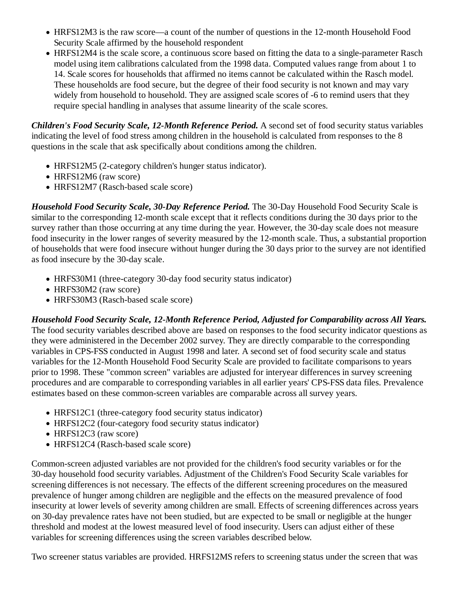- HRFS12M3 is the raw score—a count of the number of questions in the 12-month Household Food Security Scale affirmed by the household respondent
- HRFS12M4 is the scale score, a continuous score based on fitting the data to a single-parameter Rasch model using item calibrations calculated from the 1998 data. Computed values range from about 1 to 14. Scale scores for households that affirmed no items cannot be calculated within the Rasch model. These households are food secure, but the degree of their food security is not known and may vary widely from household to household. They are assigned scale scores of -6 to remind users that they require special handling in analyses that assume linearity of the scale scores.

*Children's Food Security Scale, 12-Month Reference Period.* A second set of food security status variables indicating the level of food stress among children in the household is calculated from responses to the 8 questions in the scale that ask specifically about conditions among the children.

- HRFS12M5 (2-category children's hunger status indicator).
- HRFS12M6 (raw score)
- HRFS12M7 (Rasch-based scale score)

*Household Food Security Scale, 30-Day Reference Period.* The 30-Day Household Food Security Scale is similar to the corresponding 12-month scale except that it reflects conditions during the 30 days prior to the survey rather than those occurring at any time during the year. However, the 30-day scale does not measure food insecurity in the lower ranges of severity measured by the 12-month scale. Thus, a substantial proportion of households that were food insecure without hunger during the 30 days prior to the survey are not identified as food insecure by the 30-day scale.

- HRFS30M1 (three-category 30-day food security status indicator)
- HRFS30M2 (raw score)
- HRFS30M3 (Rasch-based scale score)

*Household Food Security Scale, 12-Month Reference Period, Adjusted for Comparability across All Years.* The food security variables described above are based on responses to the food security indicator questions as they were administered in the December 2002 survey. They are directly comparable to the corresponding variables in CPS-FSS conducted in August 1998 and later. A second set of food security scale and status variables for the 12-Month Household Food Security Scale are provided to facilitate comparisons to years prior to 1998. These "common screen" variables are adjusted for interyear differences in survey screening procedures and are comparable to corresponding variables in all earlier years' CPS-FSS data files. Prevalence estimates based on these common-screen variables are comparable across all survey years.

- HRFS12C1 (three-category food security status indicator)
- HRFS12C2 (four-category food security status indicator)
- HRFS12C3 (raw score)
- HRFS12C4 (Rasch-based scale score)

Common-screen adjusted variables are not provided for the children's food security variables or for the 30-day household food security variables. Adjustment of the Children's Food Security Scale variables for screening differences is not necessary. The effects of the different screening procedures on the measured prevalence of hunger among children are negligible and the effects on the measured prevalence of food insecurity at lower levels of severity among children are small. Effects of screening differences across years on 30-day prevalence rates have not been studied, but are expected to be small or negligible at the hunger threshold and modest at the lowest measured level of food insecurity. Users can adjust either of these variables for screening differences using the screen variables described below.

Two screener status variables are provided. HRFS12MS refers to screening status under the screen that was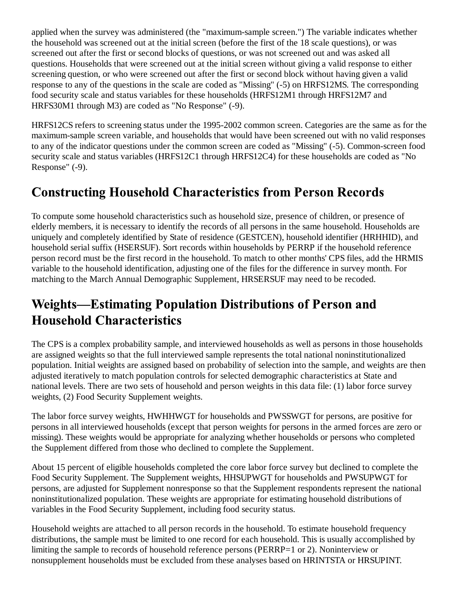applied when the survey was administered (the "maximum-sample screen.") The variable indicates whether the household was screened out at the initial screen (before the first of the 18 scale questions), or was screened out after the first or second blocks of questions, or was not screened out and was asked all questions. Households that were screened out at the initial screen without giving a valid response to either screening question, or who were screened out after the first or second block without having given a valid response to any of the questions in the scale are coded as "Missing" (-5) on HRFS12MS. The corresponding food security scale and status variables for these households (HRFS12M1 through HRFS12M7 and HRFS30M1 through M3) are coded as "No Response" (-9).

HRFS12CS refers to screening status under the 1995-2002 common screen. Categories are the same as for the maximum-sample screen variable, and households that would have been screened out with no valid responses to any of the indicator questions under the common screen are coded as "Missing" (-5). Common-screen food security scale and status variables (HRFS12C1 through HRFS12C4) for these households are coded as "No Response" (-9).

## **Constructing Household Characteristics from Person Records**

To compute some household characteristics such as household size, presence of children, or presence of elderly members, it is necessary to identify the records of all persons in the same household. Households are uniquely and completely identified by State of residence (GESTCEN), household identifier (HRHHID), and household serial suffix (HSERSUF). Sort records within households by PERRP if the household reference person record must be the first record in the household. To match to other months' CPS files, add the HRMIS variable to the household identification, adjusting one of the files for the difference in survey month. For matching to the March Annual Demographic Supplement, HRSERSUF may need to be recoded.

# **Weights-Estimating Population Distributions of Person and Household Characteristics**

The CPS is a complex probability sample, and interviewed households as well as persons in those households are assigned weights so that the full interviewed sample represents the total national noninstitutionalized population. Initial weights are assigned based on probability of selection into the sample, and weights are then adjusted iteratively to match population controls for selected demographic characteristics at State and national levels. There are two sets of household and person weights in this data file: (1) labor force survey weights, (2) Food Security Supplement weights.

The labor force survey weights, HWHHWGT for households and PWSSWGT for persons, are positive for persons in all interviewed households (except that person weights for persons in the armed forces are zero or missing). These weights would be appropriate for analyzing whether households or persons who completed the Supplement differed from those who declined to complete the Supplement.

About 15 percent of eligible households completed the core labor force survey but declined to complete the Food Security Supplement. The Supplement weights, HHSUPWGT for households and PWSUPWGT for persons, are adjusted for Supplement nonresponse so that the Supplement respondents represent the national noninstitutionalized population. These weights are appropriate for estimating household distributions of variables in the Food Security Supplement, including food security status.

Household weights are attached to all person records in the household. To estimate household frequency distributions, the sample must be limited to one record for each household. This is usually accomplished by limiting the sample to records of household reference persons (PERRP=1 or 2). Noninterview or nonsupplement households must be excluded from these analyses based on HRINTSTA or HRSUPINT.